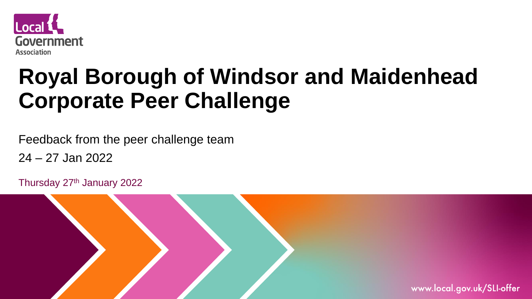

# **Royal Borough of Windsor and Maidenhead Corporate Peer Challenge**

Feedback from the peer challenge team

24 – 27 Jan 2022

Thursday 27th January 2022

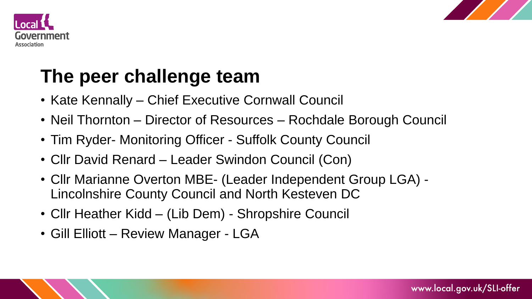



### **The peer challenge team**

- Kate Kennally Chief Executive Cornwall Council
- Neil Thornton Director of Resources Rochdale Borough Council
- Tim Ryder- Monitoring Officer Suffolk County Council
- Cllr David Renard Leader Swindon Council (Con)
- Cllr Marianne Overton MBE- (Leader Independent Group LGA) Lincolnshire County Council and North Kesteven DC
- Cllr Heather Kidd (Lib Dem) Shropshire Council
- Gill Elliott Review Manager LGA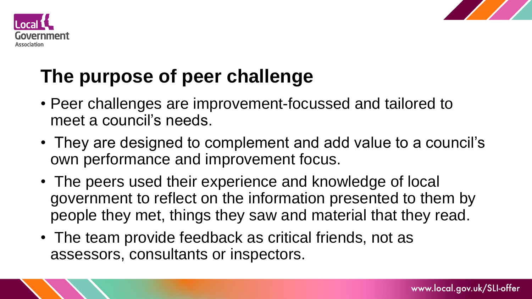



# **The purpose of peer challenge**

- Peer challenges are improvement-focussed and tailored to meet a council's needs.
- They are designed to complement and add value to a council's own performance and improvement focus.
- The peers used their experience and knowledge of local government to reflect on the information presented to them by people they met, things they saw and material that they read.
- The team provide feedback as critical friends, not as assessors, consultants or inspectors.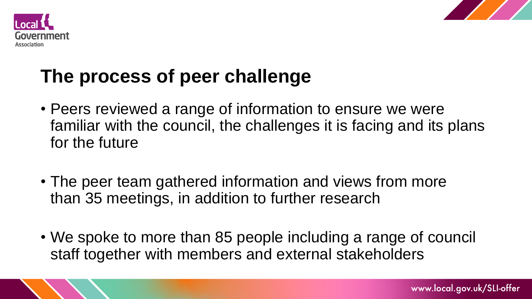



# **The process of peer challenge**

- Peers reviewed a range of information to ensure we were familiar with the council, the challenges it is facing and its plans for the future
- The peer team gathered information and views from more than 35 meetings, in addition to further research
- We spoke to more than 85 people including a range of council staff together with members and external stakeholders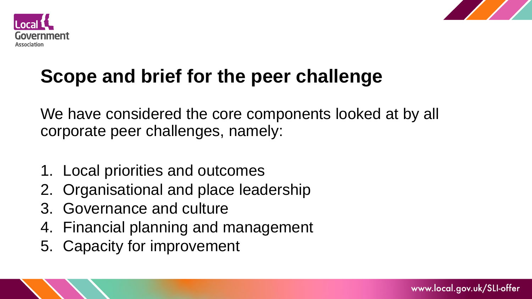



# **Scope and brief for the peer challenge**

We have considered the core components looked at by all corporate peer challenges, namely:

- 1. Local priorities and outcomes
- 2. Organisational and place leadership
- 3. Governance and culture
- 4. Financial planning and management
- 5. Capacity for improvement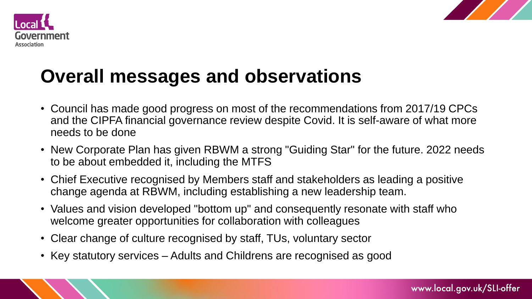



### **Overall messages and observations**

- Council has made good progress on most of the recommendations from 2017/19 CPCs and the CIPFA financial governance review despite Covid. It is self-aware of what more needs to be done
- New Corporate Plan has given RBWM a strong "Guiding Star" for the future. 2022 needs to be about embedded it, including the MTFS
- Chief Executive recognised by Members staff and stakeholders as leading a positive change agenda at RBWM, including establishing a new leadership team.
- Values and vision developed "bottom up" and consequently resonate with staff who welcome greater opportunities for collaboration with colleagues
- Clear change of culture recognised by staff, TUs, voluntary sector
- Key statutory services Adults and Childrens are recognised as good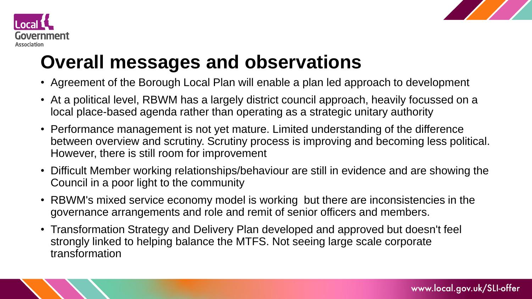



## **Overall messages and observations**

- Agreement of the Borough Local Plan will enable a plan led approach to development
- At a political level, RBWM has a largely district council approach, heavily focussed on a local place-based agenda rather than operating as a strategic unitary authority
- Performance management is not yet mature. Limited understanding of the difference between overview and scrutiny. Scrutiny process is improving and becoming less political. However, there is still room for improvement
- Difficult Member working relationships/behaviour are still in evidence and are showing the Council in a poor light to the community
- RBWM's mixed service economy model is working but there are inconsistencies in the governance arrangements and role and remit of senior officers and members.
- Transformation Strategy and Delivery Plan developed and approved but doesn't feel strongly linked to helping balance the MTFS. Not seeing large scale corporate transformation

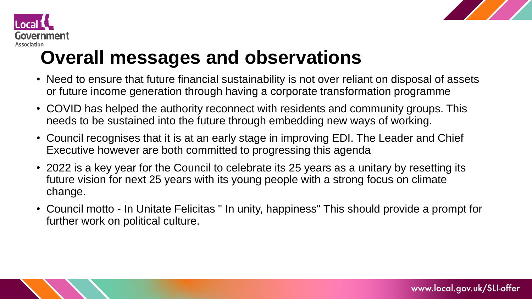



# **Overall messages and observations**

- Need to ensure that future financial sustainability is not over reliant on disposal of assets or future income generation through having a corporate transformation programme
- COVID has helped the authority reconnect with residents and community groups. This needs to be sustained into the future through embedding new ways of working.
- Council recognises that it is at an early stage in improving EDI. The Leader and Chief Executive however are both committed to progressing this agenda
- 2022 is a key year for the Council to celebrate its 25 years as a unitary by resetting its future vision for next 25 years with its young people with a strong focus on climate change.
- Council motto In Unitate Felicitas " In unity, happiness" This should provide a prompt for further work on political culture.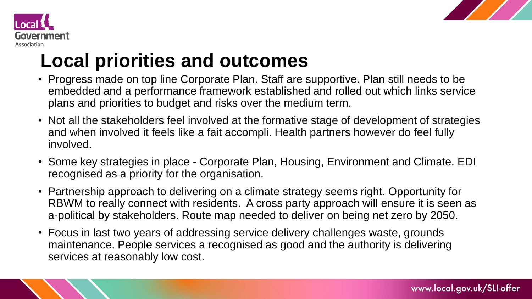



# **Local priorities and outcomes**

- Progress made on top line Corporate Plan. Staff are supportive. Plan still needs to be embedded and a performance framework established and rolled out which links service plans and priorities to budget and risks over the medium term.
- Not all the stakeholders feel involved at the formative stage of development of strategies and when involved it feels like a fait accompli. Health partners however do feel fully involved.
- Some key strategies in place Corporate Plan, Housing, Environment and Climate. EDI recognised as a priority for the organisation.
- Partnership approach to delivering on a climate strategy seems right. Opportunity for RBWM to really connect with residents. A cross party approach will ensure it is seen as a-political by stakeholders. Route map needed to deliver on being net zero by 2050.
- Focus in last two years of addressing service delivery challenges waste, grounds maintenance. People services a recognised as good and the authority is delivering services at reasonably low cost.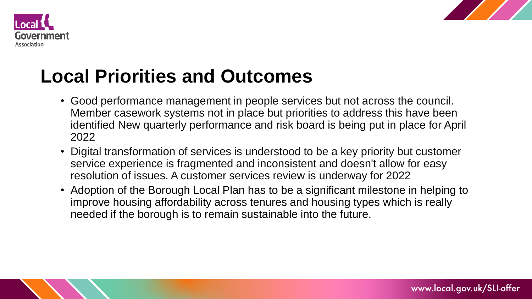



### **Local Priorities and Outcomes**

- Good performance management in people services but not across the council. Member casework systems not in place but priorities to address this have been identified New quarterly performance and risk board is being put in place for April 2022
- Digital transformation of services is understood to be a key priority but customer service experience is fragmented and inconsistent and doesn't allow for easy resolution of issues. A customer services review is underway for 2022
- Adoption of the Borough Local Plan has to be a significant milestone in helping to improve housing affordability across tenures and housing types which is really needed if the borough is to remain sustainable into the future.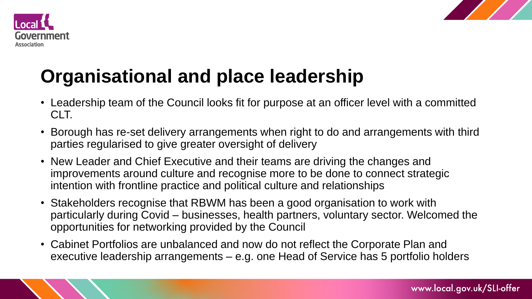



## **Organisational and place leadership**

- Leadership team of the Council looks fit for purpose at an officer level with a committed CLT.
- Borough has re-set delivery arrangements when right to do and arrangements with third parties regularised to give greater oversight of delivery
- New Leader and Chief Executive and their teams are driving the changes and improvements around culture and recognise more to be done to connect strategic intention with frontline practice and political culture and relationships
- Stakeholders recognise that RBWM has been a good organisation to work with particularly during Covid – businesses, health partners, voluntary sector. Welcomed the opportunities for networking provided by the Council
- Cabinet Portfolios are unbalanced and now do not reflect the Corporate Plan and executive leadership arrangements – e.g. one Head of Service has 5 portfolio holders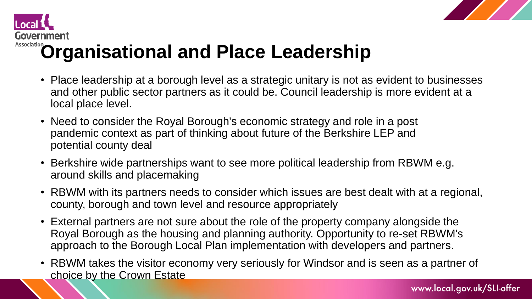



# **Association**<br>**Organisational and Place Leadership**

- Place leadership at a borough level as a strategic unitary is not as evident to businesses and other public sector partners as it could be. Council leadership is more evident at a local place level.
- Need to consider the Royal Borough's economic strategy and role in a post pandemic context as part of thinking about future of the Berkshire LEP and potential county deal
- Berkshire wide partnerships want to see more political leadership from RBWM e.g. around skills and placemaking
- RBWM with its partners needs to consider which issues are best dealt with at a regional, county, borough and town level and resource appropriately
- External partners are not sure about the role of the property company alongside the Royal Borough as the housing and planning authority. Opportunity to re-set RBWM's approach to the Borough Local Plan implementation with developers and partners.
- RBWM takes the visitor economy very seriously for Windsor and is seen as a partner of choice by the Crown Estate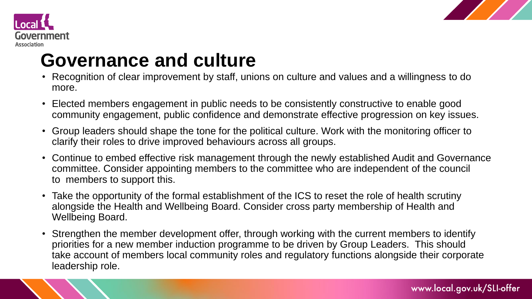



### **Governance and culture**

- Recognition of clear improvement by staff, unions on culture and values and a willingness to do more.
- Elected members engagement in public needs to be consistently constructive to enable good community engagement, public confidence and demonstrate effective progression on key issues.
- Group leaders should shape the tone for the political culture. Work with the monitoring officer to clarify their roles to drive improved behaviours across all groups.
- Continue to embed effective risk management through the newly established Audit and Governance committee. Consider appointing members to the committee who are independent of the council to members to support this.
- Take the opportunity of the formal establishment of the ICS to reset the role of health scrutiny alongside the Health and Wellbeing Board. Consider cross party membership of Health and Wellbeing Board.
- Strengthen the member development offer, through working with the current members to identify priorities for a new member induction programme to be driven by Group Leaders. This should take account of members local community roles and regulatory functions alongside their corporate leadership role.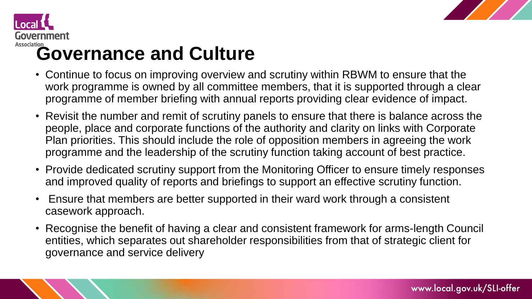



# **Association**<br>**Governance and Culture**

- Continue to focus on improving overview and scrutiny within RBWM to ensure that the work programme is owned by all committee members, that it is supported through a clear programme of member briefing with annual reports providing clear evidence of impact.
- Revisit the number and remit of scrutiny panels to ensure that there is balance across the people, place and corporate functions of the authority and clarity on links with Corporate Plan priorities. This should include the role of opposition members in agreeing the work programme and the leadership of the scrutiny function taking account of best practice.
- Provide dedicated scrutiny support from the Monitoring Officer to ensure timely responses and improved quality of reports and briefings to support an effective scrutiny function.
- Ensure that members are better supported in their ward work through a consistent casework approach.
- Recognise the benefit of having a clear and consistent framework for arms-length Council entities, which separates out shareholder responsibilities from that of strategic client for governance and service delivery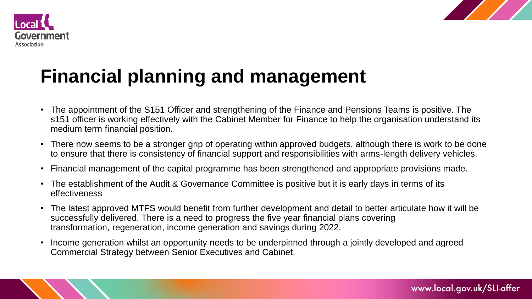



## **Financial planning and management**

- The appointment of the S151 Officer and strengthening of the Finance and Pensions Teams is positive. The s151 officer is working effectively with the Cabinet Member for Finance to help the organisation understand its medium term financial position.
- There now seems to be a stronger grip of operating within approved budgets, although there is work to be done to ensure that there is consistency of financial support and responsibilities with arms-length delivery vehicles.
- Financial management of the capital programme has been strengthened and appropriate provisions made.
- The establishment of the Audit & Governance Committee is positive but it is early days in terms of its effectiveness
- The latest approved MTFS would benefit from further development and detail to better articulate how it will be successfully delivered. There is a need to progress the five year financial plans covering transformation, regeneration, income generation and savings during 2022.
- Income generation whilst an opportunity needs to be underpinned through a jointly developed and agreed Commercial Strategy between Senior Executives and Cabinet.

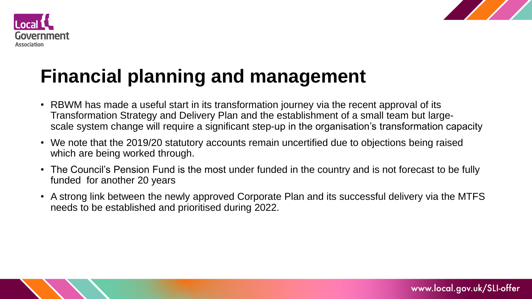



## **Financial planning and management**

- RBWM has made a useful start in its transformation journey via the recent approval of its Transformation Strategy and Delivery Plan and the establishment of a small team but largescale system change will require a significant step-up in the organisation's transformation capacity
- We note that the 2019/20 statutory accounts remain uncertified due to objections being raised which are being worked through.
- The Council's Pension Fund is the most under funded in the country and is not forecast to be fully funded for another 20 years
- A strong link between the newly approved Corporate Plan and its successful delivery via the MTFS needs to be established and prioritised during 2022.

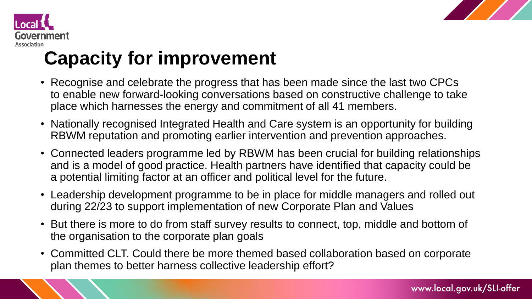



# **Capacity for improvement**

- Recognise and celebrate the progress that has been made since the last two CPCs to enable new forward-looking conversations based on constructive challenge to take place which harnesses the energy and commitment of all 41 members.
- Nationally recognised Integrated Health and Care system is an opportunity for building RBWM reputation and promoting earlier intervention and prevention approaches.
- Connected leaders programme led by RBWM has been crucial for building relationships and is a model of good practice. Health partners have identified that capacity could be a potential limiting factor at an officer and political level for the future.
- Leadership development programme to be in place for middle managers and rolled out during 22/23 to support implementation of new Corporate Plan and Values
- But there is more to do from staff survey results to connect, top, middle and bottom of the organisation to the corporate plan goals
- Committed CLT. Could there be more themed based collaboration based on corporate plan themes to better harness collective leadership effort?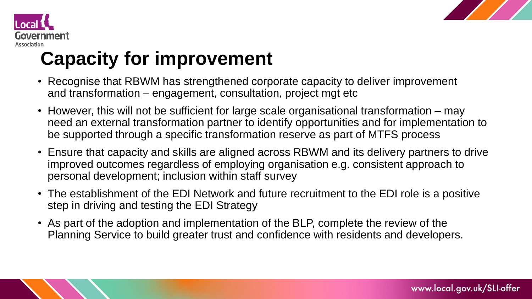



### **Capacity for improvement**

- Recognise that RBWM has strengthened corporate capacity to deliver improvement and transformation – engagement, consultation, project mgt etc
- However, this will not be sufficient for large scale organisational transformation may need an external transformation partner to identify opportunities and for implementation to be supported through a specific transformation reserve as part of MTFS process
- Ensure that capacity and skills are aligned across RBWM and its delivery partners to drive improved outcomes regardless of employing organisation e.g. consistent approach to personal development; inclusion within staff survey
- The establishment of the EDI Network and future recruitment to the EDI role is a positive step in driving and testing the EDI Strategy
- As part of the adoption and implementation of the BLP, complete the review of the Planning Service to build greater trust and confidence with residents and developers.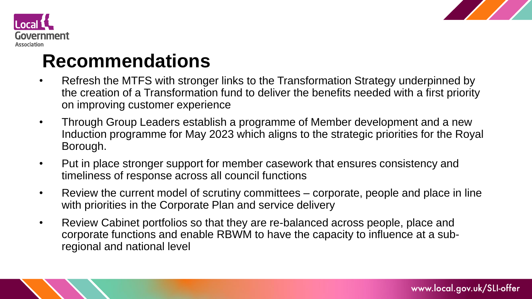



#### **Recommendations**

- Refresh the MTFS with stronger links to the Transformation Strategy underpinned by the creation of a Transformation fund to deliver the benefits needed with a first priority on improving customer experience
- Through Group Leaders establish a programme of Member development and a new Induction programme for May 2023 which aligns to the strategic priorities for the Royal Borough.
- Put in place stronger support for member casework that ensures consistency and timeliness of response across all council functions
- Review the current model of scrutiny committees corporate, people and place in line with priorities in the Corporate Plan and service delivery
- Review Cabinet portfolios so that they are re-balanced across people, place and corporate functions and enable RBWM to have the capacity to influence at a subregional and national level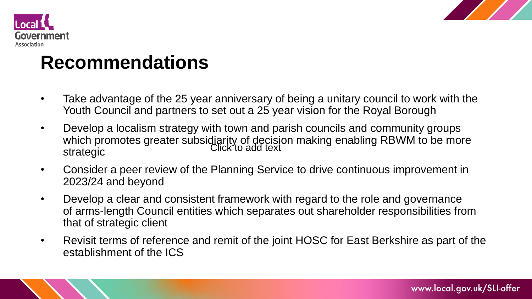



#### **Recommendations**

- Take advantage of the 25 year anniversary of being a unitary council to work with the Youth Council and partners to set out a 25 year vision for the Royal Borough
- Develop a localism strategy with town and parish councils and community groups which promotes greater subsidiarity of decision making enabling RBWM to be more strategic Click to add text
- Consider a peer review of the Planning Service to drive continuous improvement in 2023/24 and beyond
- Develop a clear and consistent framework with regard to the role and governance of arms-length Council entities which separates out shareholder responsibilities from that of strategic client
- Revisit terms of reference and remit of the joint HOSC for East Berkshire as part of the establishment of the ICS